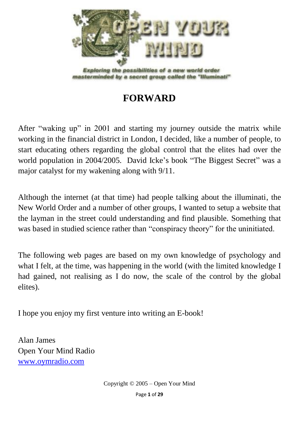

### **FORWARD**

After "waking up" in 2001 and starting my journey outside the matrix while working in the financial district in London, I decided, like a number of people, to start educating others regarding the global control that the elites had over the world population in 2004/2005. David Icke's book "The Biggest Secret" was a major catalyst for my wakening along with 9/11.

Although the internet (at that time) had people talking about the illuminati, the New World Order and a number of other groups, I wanted to setup a website that the layman in the street could understanding and find plausible. Something that was based in studied science rather than "conspiracy theory" for the uninitiated.

The following web pages are based on my own knowledge of psychology and what I felt, at the time, was happening in the world (with the limited knowledge I had gained, not realising as I do now, the scale of the control by the global elites).

I hope you enjoy my first venture into writing an E-book!

Alan James Open Your Mind Radio [www.oymradio.com](http://www.oymradio.com/)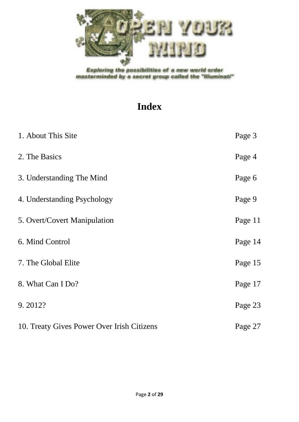

### **Index**

| 1. About This Site                         | Page 3  |
|--------------------------------------------|---------|
| 2. The Basics                              | Page 4  |
| 3. Understanding The Mind                  | Page 6  |
| 4. Understanding Psychology                | Page 9  |
| 5. Overt/Covert Manipulation               | Page 11 |
| 6. Mind Control                            | Page 14 |
| 7. The Global Elite                        | Page 15 |
| 8. What Can I Do?                          | Page 17 |
| 9.2012?                                    | Page 23 |
| 10. Treaty Gives Power Over Irish Citizens | Page 27 |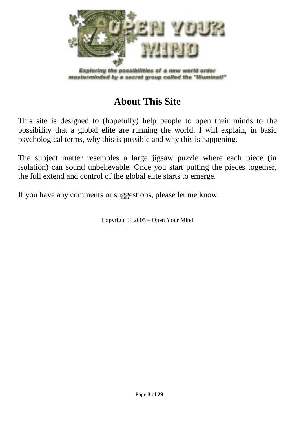

masterminded by a secret group called the "Illuminati"

## **About This Site**

This site is designed to (hopefully) help people to open their minds to the possibility that a global elite are running the world. I will explain, in basic psychological terms, why this is possible and why this is happening.

The subject matter resembles a large jigsaw puzzle where each piece (in isolation) can sound unbelievable. Once you start putting the pieces together, the full extend and control of the global elite starts to emerge.

If you have any comments or suggestions, please let me know.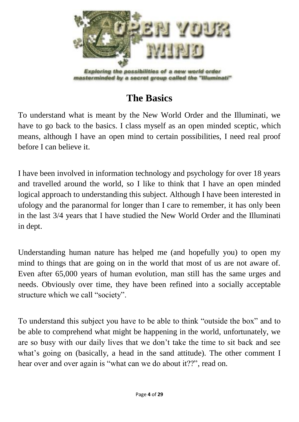

### **The Basics**

To understand what is meant by the New World Order and the Illuminati, we have to go back to the basics. I class myself as an open minded sceptic, which means, although I have an open mind to certain possibilities, I need real proof before I can believe it.

I have been involved in information technology and psychology for over 18 years and travelled around the world, so I like to think that I have an open minded logical approach to understanding this subject. Although I have been interested in ufology and the paranormal for longer than I care to remember, it has only been in the last 3/4 years that I have studied the New World Order and the Illuminati in dept.

Understanding human nature has helped me (and hopefully you) to open my mind to things that are going on in the world that most of us are not aware of. Even after 65,000 years of human evolution, man still has the same urges and needs. Obviously over time, they have been refined into a socially acceptable structure which we call "society".

To understand this subject you have to be able to think "outside the box" and to be able to comprehend what might be happening in the world, unfortunately, we are so busy with our daily lives that we don't take the time to sit back and see what's going on (basically, a head in the sand attitude). The other comment I hear over and over again is "what can we do about it??", read on.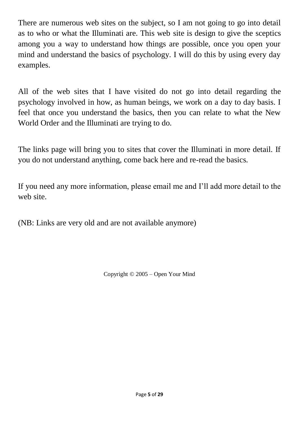There are numerous web sites on the subject, so I am not going to go into detail as to who or what the Illuminati are. This web site is design to give the sceptics among you a way to understand how things are possible, once you open your mind and understand the basics of psychology. I will do this by using every day examples.

All of the web sites that I have visited do not go into detail regarding the psychology involved in how, as human beings, we work on a day to day basis. I feel that once you understand the basics, then you can relate to what the New World Order and the Illuminati are trying to do.

The links page will bring you to sites that cover the Illuminati in more detail. If you do not understand anything, come back here and re-read the basics.

If you need any more information, please email me and I'll add more detail to the web site.

(NB: Links are very old and are not available anymore)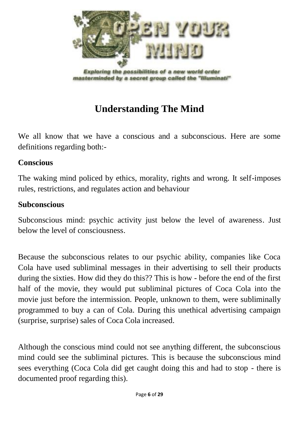

# **Understanding The Mind**

We all know that we have a conscious and a subconscious. Here are some definitions regarding both:-

#### **Conscious**

The waking mind policed by ethics, morality, rights and wrong. It self-imposes rules, restrictions, and regulates action and behaviour

#### **Subconscious**

Subconscious mind: psychic activity just below the level of awareness. Just below the level of consciousness.

Because the subconscious relates to our psychic ability, companies like Coca Cola have used subliminal messages in their advertising to sell their products during the sixties. How did they do this?? This is how - before the end of the first half of the movie, they would put subliminal pictures of Coca Cola into the movie just before the intermission. People, unknown to them, were subliminally programmed to buy a can of Cola. During this unethical advertising campaign (surprise, surprise) sales of Coca Cola increased.

Although the conscious mind could not see anything different, the subconscious mind could see the subliminal pictures. This is because the subconscious mind sees everything (Coca Cola did get caught doing this and had to stop - there is documented proof regarding this).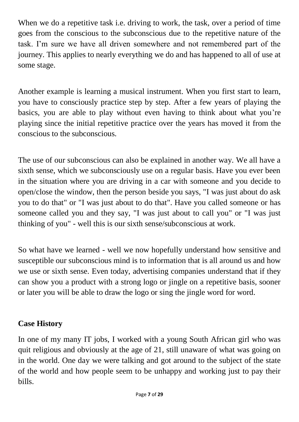When we do a repetitive task *i.e.* driving to work, the task, over a period of time goes from the conscious to the subconscious due to the repetitive nature of the task. I'm sure we have all driven somewhere and not remembered part of the journey. This applies to nearly everything we do and has happened to all of use at some stage.

Another example is learning a musical instrument. When you first start to learn, you have to consciously practice step by step. After a few years of playing the basics, you are able to play without even having to think about what you're playing since the initial repetitive practice over the years has moved it from the conscious to the subconscious.

The use of our subconscious can also be explained in another way. We all have a sixth sense, which we subconsciously use on a regular basis. Have you ever been in the situation where you are driving in a car with someone and you decide to open/close the window, then the person beside you says, "I was just about do ask you to do that" or "I was just about to do that". Have you called someone or has someone called you and they say, "I was just about to call you" or "I was just thinking of you" - well this is our sixth sense/subconscious at work.

So what have we learned - well we now hopefully understand how sensitive and susceptible our subconscious mind is to information that is all around us and how we use or sixth sense. Even today, advertising companies understand that if they can show you a product with a strong logo or jingle on a repetitive basis, sooner or later you will be able to draw the logo or sing the jingle word for word.

#### **Case History**

In one of my many IT jobs, I worked with a young South African girl who was quit religious and obviously at the age of 21, still unaware of what was going on in the world. One day we were talking and got around to the subject of the state of the world and how people seem to be unhappy and working just to pay their bills.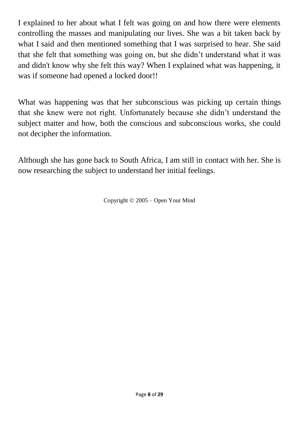I explained to her about what I felt was going on and how there were elements controlling the masses and manipulating our lives. She was a bit taken back by what I said and then mentioned something that I was surprised to hear. She said that she felt that something was going on, but she didn't understand what it was and didn't know why she felt this way? When I explained what was happening, it was if someone had opened a locked door!!

What was happening was that her subconscious was picking up certain things that she knew were not right. Unfortunately because she didn't understand the subject matter and how, both the conscious and subconscious works, she could not decipher the information.

Although she has gone back to South Africa, I am still in contact with her. She is now researching the subject to understand her initial feelings.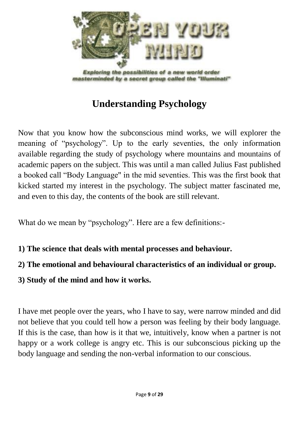

masterminded by a secret group called the "Illuminati"

## **Understanding Psychology**

Now that you know how the subconscious mind works, we will explorer the meaning of "psychology". Up to the early seventies, the only information available regarding the study of psychology where mountains and mountains of academic papers on the subject. This was until a man called Julius Fast published a booked call "Body Language" in the mid seventies. This was the first book that kicked started my interest in the psychology. The subject matter fascinated me, and even to this day, the contents of the book are still relevant.

What do we mean by "psychology". Here are a few definitions:-

- **1) The science that deals with mental processes and behaviour.**
- **2) The emotional and behavioural characteristics of an individual or group.**
- **3) Study of the mind and how it works.**

I have met people over the years, who I have to say, were narrow minded and did not believe that you could tell how a person was feeling by their body language. If this is the case, than how is it that we, intuitively, know when a partner is not happy or a work college is angry etc. This is our subconscious picking up the body language and sending the non-verbal information to our conscious.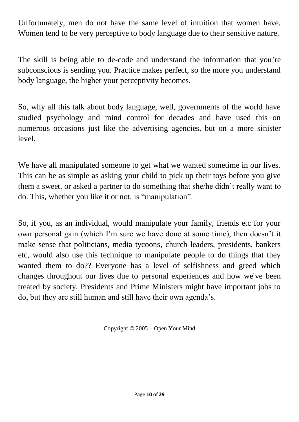Unfortunately, men do not have the same level of intuition that women have. Women tend to be very perceptive to body language due to their sensitive nature.

The skill is being able to de-code and understand the information that you're subconscious is sending you. Practice makes perfect, so the more you understand body language, the higher your perceptivity becomes.

So, why all this talk about body language, well, governments of the world have studied psychology and mind control for decades and have used this on numerous occasions just like the advertising agencies, but on a more sinister level.

We have all manipulated someone to get what we wanted sometime in our lives. This can be as simple as asking your child to pick up their toys before you give them a sweet, or asked a partner to do something that she/he didn't really want to do. This, whether you like it or not, is "manipulation".

So, if you, as an individual, would manipulate your family, friends etc for your own personal gain (which I'm sure we have done at some time), then doesn't it make sense that politicians, media tycoons, church leaders, presidents, bankers etc, would also use this technique to manipulate people to do things that they wanted them to do?? Everyone has a level of selfishness and greed which changes throughout our lives due to personal experiences and how we've been treated by society. Presidents and Prime Ministers might have important jobs to do, but they are still human and still have their own agenda's.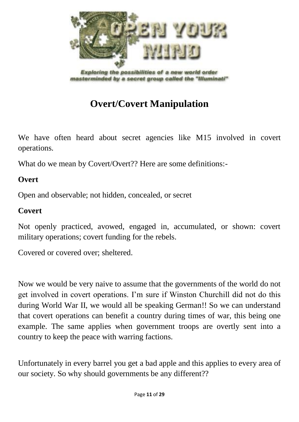

# **Overt/Covert Manipulation**

We have often heard about secret agencies like M15 involved in covert operations.

What do we mean by Covert/Overt?? Here are some definitions:-

#### **Overt**

Open and observable; not hidden, concealed, or secret

#### **Covert**

Not openly practiced, avowed, engaged in, accumulated, or shown: covert military operations; covert funding for the rebels.

Covered or covered over; sheltered.

Now we would be very naive to assume that the governments of the world do not get involved in covert operations. I'm sure if Winston Churchill did not do this during World War II, we would all be speaking German!! So we can understand that covert operations can benefit a country during times of war, this being one example. The same applies when government troops are overtly sent into a country to keep the peace with warring factions.

Unfortunately in every barrel you get a bad apple and this applies to every area of our society. So why should governments be any different??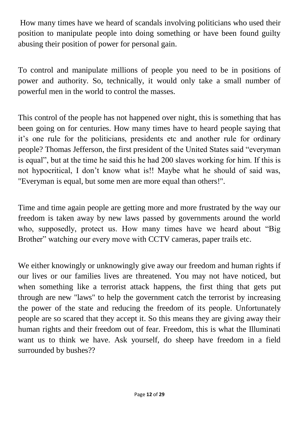How many times have we heard of scandals involving politicians who used their position to manipulate people into doing something or have been found guilty abusing their position of power for personal gain.

To control and manipulate millions of people you need to be in positions of power and authority. So, technically, it would only take a small number of powerful men in the world to control the masses.

This control of the people has not happened over night, this is something that has been going on for centuries. How many times have to heard people saying that it's one rule for the politicians, presidents etc and another rule for ordinary people? Thomas Jefferson, the first president of the United States said "everyman is equal", but at the time he said this he had 200 slaves working for him. If this is not hypocritical, I don't know what is!! Maybe what he should of said was, "Everyman is equal, but some men are more equal than others!".

Time and time again people are getting more and more frustrated by the way our freedom is taken away by new laws passed by governments around the world who, supposedly, protect us. How many times have we heard about "Big Brother" watching our every move with CCTV cameras, paper trails etc.

We either knowingly or unknowingly give away our freedom and human rights if our lives or our families lives are threatened. You may not have noticed, but when something like a terrorist attack happens, the first thing that gets put through are new "laws" to help the government catch the terrorist by increasing the power of the state and reducing the freedom of its people. Unfortunately people are so scared that they accept it. So this means they are giving away their human rights and their freedom out of fear. Freedom, this is what the Illuminati want us to think we have. Ask yourself, do sheep have freedom in a field surrounded by bushes??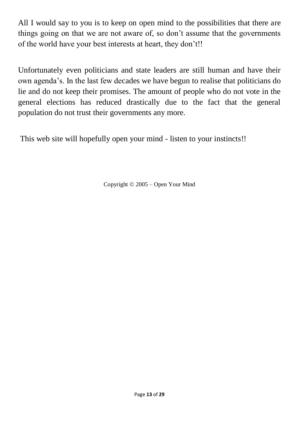All I would say to you is to keep on open mind to the possibilities that there are things going on that we are not aware of, so don't assume that the governments of the world have your best interests at heart, they don't!!

Unfortunately even politicians and state leaders are still human and have their own agenda's. In the last few decades we have begun to realise that politicians do lie and do not keep their promises. The amount of people who do not vote in the general elections has reduced drastically due to the fact that the general population do not trust their governments any more.

This web site will hopefully open your mind - listen to your instincts!!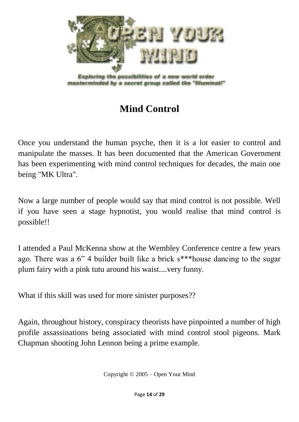

# **Mind Control**

Once you understand the human psyche, then it is a lot easier to control and manipulate the masses. It has been documented that the American Government has been experimenting with mind control techniques for decades, the main one being "MK Ultra".

Now a large number of people would say that mind control is not possible. Well if you have seen a stage hypnotist, you would realise that mind control is possible!!

I attended a Paul McKenna show at the Wembley Conference centre a few years ago. There was a 6" 4 builder built like a brick s\*\*\*house dancing to the sugar plum fairy with a pink tutu around his waist....very funny.

What if this skill was used for more sinister purposes??

Again, throughout history, conspiracy theorists have pinpointed a number of high profile assassinations being associated with mind control stool pigeons. Mark Chapman shooting John Lennon being a prime example.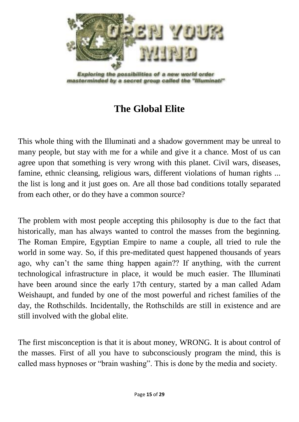

## **The Global Elite**

This whole thing with the Illuminati and a shadow government may be unreal to many people, but stay with me for a while and give it a chance. Most of us can agree upon that something is very wrong with this planet. Civil wars, diseases, famine, ethnic cleansing, religious wars, different violations of human rights ... the list is long and it just goes on. Are all those bad conditions totally separated from each other, or do they have a common source?

The problem with most people accepting this philosophy is due to the fact that historically, man has always wanted to control the masses from the beginning. The Roman Empire, Egyptian Empire to name a couple, all tried to rule the world in some way. So, if this pre-meditated quest happened thousands of years ago, why can't the same thing happen again?? If anything, with the current technological infrastructure in place, it would be much easier. The Illuminati have been around since the early 17th century, started by a man called Adam Weishaupt, and funded by one of the most powerful and richest families of the day, the Rothschilds. Incidentally, the Rothschilds are still in existence and are still involved with the global elite.

The first misconception is that it is about money, WRONG. It is about control of the masses. First of all you have to subconsciously program the mind, this is called mass hypnoses or "brain washing". This is done by the media and society.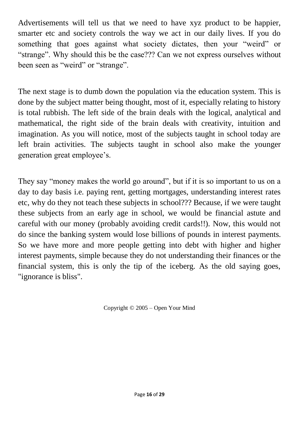Advertisements will tell us that we need to have xyz product to be happier, smarter etc and society controls the way we act in our daily lives. If you do something that goes against what society dictates, then your "weird" or "strange". Why should this be the case??? Can we not express ourselves without been seen as "weird" or "strange".

The next stage is to dumb down the population via the education system. This is done by the subject matter being thought, most of it, especially relating to history is total rubbish. The left side of the brain deals with the logical, analytical and mathematical, the right side of the brain deals with creativity, intuition and imagination. As you will notice, most of the subjects taught in school today are left brain activities. The subjects taught in school also make the younger generation great employee's.

They say "money makes the world go around", but if it is so important to us on a day to day basis i.e. paying rent, getting mortgages, understanding interest rates etc, why do they not teach these subjects in school??? Because, if we were taught these subjects from an early age in school, we would be financial astute and careful with our money (probably avoiding credit cards!!). Now, this would not do since the banking system would lose billions of pounds in interest payments. So we have more and more people getting into debt with higher and higher interest payments, simple because they do not understanding their finances or the financial system, this is only the tip of the iceberg. As the old saying goes, "ignorance is bliss".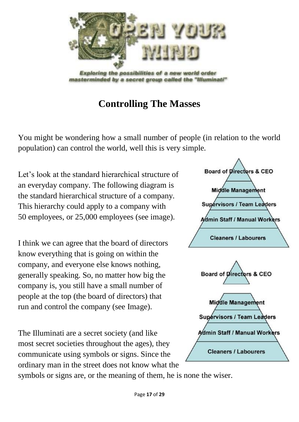

### **Controlling The Masses**

You might be wondering how a small number of people (in relation to the world population) can control the world, well this is very simple.

Let's look at the standard hierarchical structure of an everyday company. The following diagram is the standard hierarchical structure of a company. This hierarchy could apply to a company with 50 employees, or 25,000 employees (see image).

I think we can agree that the board of directors know everything that is going on within the company, and everyone else knows nothing, generally speaking. So, no matter how big the company is, you still have a small number of people at the top (the board of directors) that run and control the company (see Image).

The Illuminati are a secret society (and like most secret societies throughout the ages), they communicate using symbols or signs. Since the ordinary man in the street does not know what the



**Cleaners / Labourers** 

symbols or signs are, or the meaning of them, he is none the wiser.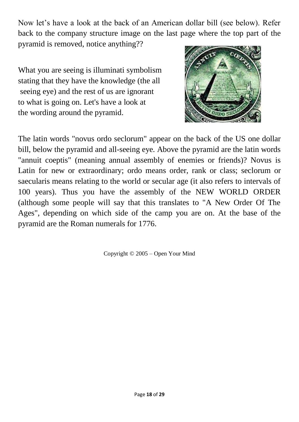Now let's have a look at the back of an American dollar bill (see below). Refer back to the company structure image on the last page where the top part of the pyramid is removed, notice anything??

What you are seeing is illuminati symbolism stating that they have the knowledge (the all seeing eye) and the rest of us are ignorant to what is going on. Let's have a look at the wording around the pyramid.



The latin words "novus ordo seclorum" appear on the back of the US one dollar bill, below the pyramid and all-seeing eye. Above the pyramid are the latin words "annuit coeptis" (meaning annual assembly of enemies or friends)? Novus is Latin for new or extraordinary; ordo means order, rank or class; seclorum or saecularis means relating to the world or secular age (it also refers to intervals of 100 years). Thus you have the assembly of the NEW WORLD ORDER (although some people will say that this translates to "A New Order Of The Ages", depending on which side of the camp you are on. At the base of the pyramid are the Roman numerals for 1776.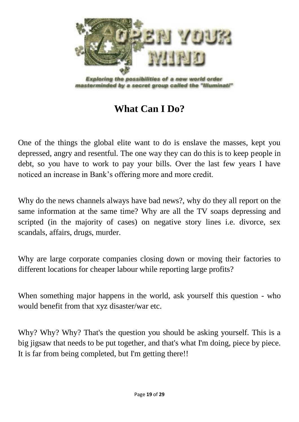

### **What Can I Do?**

One of the things the global elite want to do is enslave the masses, kept you depressed, angry and resentful. The one way they can do this is to keep people in debt, so you have to work to pay your bills. Over the last few years I have noticed an increase in Bank's offering more and more credit.

Why do the news channels always have bad news?, why do they all report on the same information at the same time? Why are all the TV soaps depressing and scripted (in the majority of cases) on negative story lines i.e. divorce, sex scandals, affairs, drugs, murder.

Why are large corporate companies closing down or moving their factories to different locations for cheaper labour while reporting large profits?

When something major happens in the world, ask yourself this question - who would benefit from that xyz disaster/war etc.

Why? Why? Why? That's the question you should be asking yourself. This is a big jigsaw that needs to be put together, and that's what I'm doing, piece by piece. It is far from being completed, but I'm getting there!!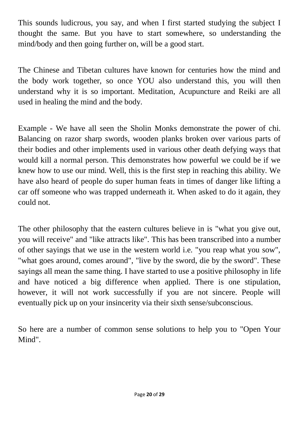This sounds ludicrous, you say, and when I first started studying the subject I thought the same. But you have to start somewhere, so understanding the mind/body and then going further on, will be a good start.

The Chinese and Tibetan cultures have known for centuries how the mind and the body work together, so once YOU also understand this, you will then understand why it is so important. Meditation, Acupuncture and Reiki are all used in healing the mind and the body.

Example - We have all seen the Sholin Monks demonstrate the power of chi. Balancing on razor sharp swords, wooden planks broken over various parts of their bodies and other implements used in various other death defying ways that would kill a normal person. This demonstrates how powerful we could be if we knew how to use our mind. Well, this is the first step in reaching this ability. We have also heard of people do super human feats in times of danger like lifting a car off someone who was trapped underneath it. When asked to do it again, they could not.

The other philosophy that the eastern cultures believe in is "what you give out, you will receive" and "like attracts like". This has been transcribed into a number of other sayings that we use in the western world i.e. "you reap what you sow", "what goes around, comes around", "live by the sword, die by the sword". These sayings all mean the same thing. I have started to use a positive philosophy in life and have noticed a big difference when applied. There is one stipulation, however, it will not work successfully if you are not sincere. People will eventually pick up on your insincerity via their sixth sense/subconscious.

So here are a number of common sense solutions to help you to "Open Your Mind".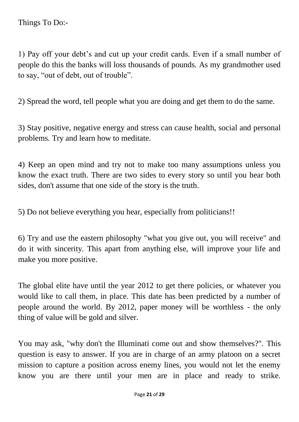Things To Do:-

1) Pay off your debt's and cut up your credit cards. Even if a small number of people do this the banks will loss thousands of pounds. As my grandmother used to say, "out of debt, out of trouble".

2) Spread the word, tell people what you are doing and get them to do the same.

3) Stay positive, negative energy and stress can cause health, social and personal problems. Try and learn how to meditate.

4) Keep an open mind and try not to make too many assumptions unless you know the exact truth. There are two sides to every story so until you hear both sides, don't assume that one side of the story is the truth.

5) Do not believe everything you hear, especially from politicians!!

6) Try and use the eastern philosophy "what you give out, you will receive" and do it with sincerity. This apart from anything else, will improve your life and make you more positive.

The global elite have until the year 2012 to get there policies, or whatever you would like to call them, in place. This date has been predicted by a number of people around the world. By 2012, paper money will be worthless - the only thing of value will be gold and silver.

You may ask, "why don't the Illuminati come out and show themselves?". This question is easy to answer. If you are in charge of an army platoon on a secret mission to capture a position across enemy lines, you would not let the enemy know you are there until your men are in place and ready to strike.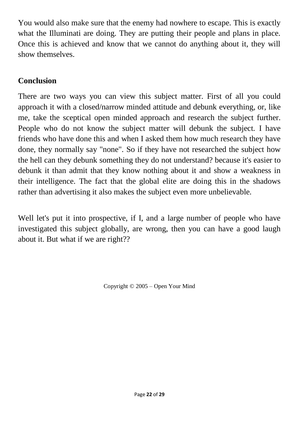You would also make sure that the enemy had nowhere to escape. This is exactly what the Illuminati are doing. They are putting their people and plans in place. Once this is achieved and know that we cannot do anything about it, they will show themselves.

#### **Conclusion**

There are two ways you can view this subject matter. First of all you could approach it with a closed/narrow minded attitude and debunk everything, or, like me, take the sceptical open minded approach and research the subject further. People who do not know the subject matter will debunk the subject. I have friends who have done this and when I asked them how much research they have done, they normally say "none". So if they have not researched the subject how the hell can they debunk something they do not understand? because it's easier to debunk it than admit that they know nothing about it and show a weakness in their intelligence. The fact that the global elite are doing this in the shadows rather than advertising it also makes the subject even more unbelievable.

Well let's put it into prospective, if I, and a large number of people who have investigated this subject globally, are wrong, then you can have a good laugh about it. But what if we are right??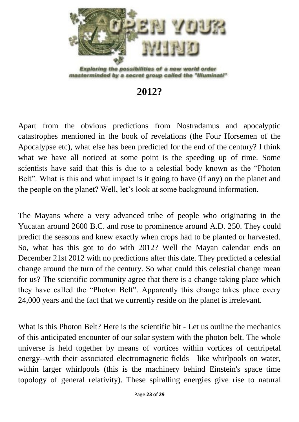

### **2012?**

Apart from the obvious predictions from Nostradamus and apocalyptic catastrophes mentioned in the book of revelations (the Four Horsemen of the Apocalypse etc), what else has been predicted for the end of the century? I think what we have all noticed at some point is the speeding up of time. Some scientists have said that this is due to a celestial body known as the "Photon Belt". What is this and what impact is it going to have (if any) on the planet and the people on the planet? Well, let's look at some background information.

The Mayans where a very advanced tribe of people who originating in the Yucatan around 2600 B.C. and rose to prominence around A.D. 250. They could predict the seasons and knew exactly when crops had to be planted or harvested. So, what has this got to do with 2012? Well the Mayan calendar ends on December 21st 2012 with no predictions after this date. They predicted a celestial change around the turn of the century. So what could this celestial change mean for us? The scientific community agree that there is a change taking place which they have called the "Photon Belt". Apparently this change takes place every 24,000 years and the fact that we currently reside on the planet is irrelevant.

What is this Photon Belt? Here is the scientific bit - Let us outline the mechanics of this anticipated encounter of our solar system with the photon belt. The whole universe is held together by means of vortices within vortices of centripetal energy--with their associated electromagnetic fields—like whirlpools on water, within larger whirlpools (this is the machinery behind Einstein's space time topology of general relativity). These spiralling energies give rise to natural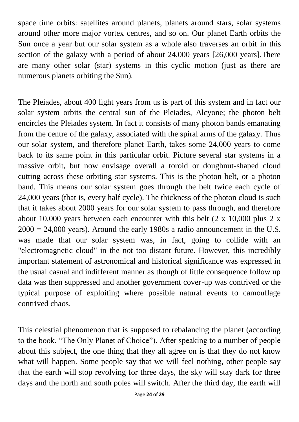space time orbits: satellites around planets, planets around stars, solar systems around other more major vortex centres, and so on. Our planet Earth orbits the Sun once a year but our solar system as a whole also traverses an orbit in this section of the galaxy with a period of about 24,000 years [26,000 years].There are many other solar (star) systems in this cyclic motion (just as there are numerous planets orbiting the Sun).

The Pleiades, about 400 light years from us is part of this system and in fact our solar system orbits the central sun of the Pleiades, Alcyone; the photon belt encircles the Pleiades system. In fact it consists of many photon bands emanating from the centre of the galaxy, associated with the spiral arms of the galaxy. Thus our solar system, and therefore planet Earth, takes some 24,000 years to come back to its same point in this particular orbit. Picture several star systems in a massive orbit, but now envisage overall a toroid or doughnut-shaped cloud cutting across these orbiting star systems. This is the photon belt, or a photon band. This means our solar system goes through the belt twice each cycle of 24,000 years (that is, every half cycle). The thickness of the photon cloud is such that it takes about 2000 years for our solar system to pass through, and therefore about 10,000 years between each encounter with this belt (2 x 10,000 plus 2 x  $2000 = 24,000$  years). Around the early 1980s a radio announcement in the U.S. was made that our solar system was, in fact, going to collide with an "electromagnetic cloud" in the not too distant future. However, this incredibly important statement of astronomical and historical significance was expressed in the usual casual and indifferent manner as though of little consequence follow up data was then suppressed and another government cover-up was contrived or the typical purpose of exploiting where possible natural events to camouflage contrived chaos.

This celestial phenomenon that is supposed to rebalancing the planet (according to the book, "The Only Planet of Choice"). After speaking to a number of people about this subject, the one thing that they all agree on is that they do not know what will happen. Some people say that we will feel nothing, other people say that the earth will stop revolving for three days, the sky will stay dark for three days and the north and south poles will switch. After the third day, the earth will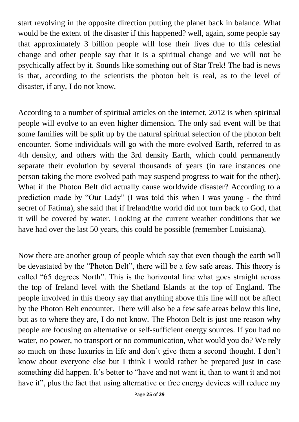start revolving in the opposite direction putting the planet back in balance. What would be the extent of the disaster if this happened? well, again, some people say that approximately 3 billion people will lose their lives due to this celestial change and other people say that it is a spiritual change and we will not be psychically affect by it. Sounds like something out of Star Trek! The bad is news is that, according to the scientists the photon belt is real, as to the level of disaster, if any, I do not know.

According to a number of spiritual articles on the internet, 2012 is when spiritual people will evolve to an even higher dimension. The only sad event will be that some families will be split up by the natural spiritual selection of the photon belt encounter. Some individuals will go with the more evolved Earth, referred to as 4th density, and others with the 3rd density Earth, which could permanently separate their evolution by several thousands of years (in rare instances one person taking the more evolved path may suspend progress to wait for the other). What if the Photon Belt did actually cause worldwide disaster? According to a prediction made by "Our Lady" (I was told this when I was young - the third secret of Fatima), she said that if Ireland/the world did not turn back to God, that it will be covered by water. Looking at the current weather conditions that we have had over the last 50 years, this could be possible (remember Louisiana).

Now there are another group of people which say that even though the earth will be devastated by the "Photon Belt", there will be a few safe areas. This theory is called "65 degrees North". This is the horizontal line what goes straight across the top of Ireland level with the Shetland Islands at the top of England. The people involved in this theory say that anything above this line will not be affect by the Photon Belt encounter. There will also be a few safe areas below this line, but as to where they are, I do not know. The Photon Belt is just one reason why people are focusing on alternative or self-sufficient energy sources. If you had no water, no power, no transport or no communication, what would you do? We rely so much on these luxuries in life and don't give them a second thought. I don't know about everyone else but I think I would rather be prepared just in case something did happen. It's better to "have and not want it, than to want it and not have it", plus the fact that using alternative or free energy devices will reduce my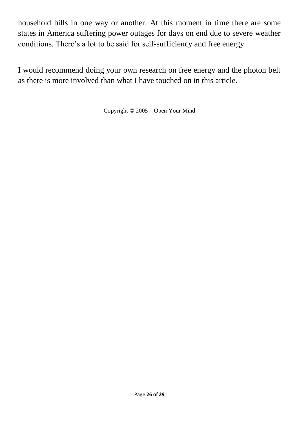household bills in one way or another. At this moment in time there are some states in America suffering power outages for days on end due to severe weather conditions. There's a lot to be said for self-sufficiency and free energy.

I would recommend doing your own research on free energy and the photon belt as there is more involved than what I have touched on in this article.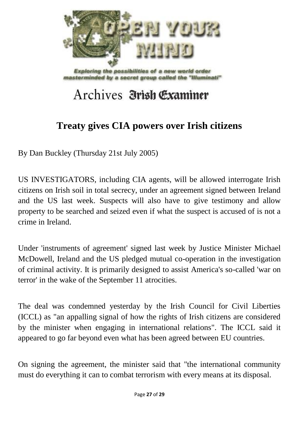

# Archives Jrish Examiner

### **Treaty gives CIA powers over Irish citizens**

By Dan Buckley (Thursday 21st July 2005)

US INVESTIGATORS, including CIA agents, will be allowed interrogate Irish citizens on Irish soil in total secrecy, under an agreement signed between Ireland and the US last week. Suspects will also have to give testimony and allow property to be searched and seized even if what the suspect is accused of is not a crime in Ireland.

Under 'instruments of agreement' signed last week by Justice Minister Michael McDowell, Ireland and the US pledged mutual co-operation in the investigation of criminal activity. It is primarily designed to assist America's so-called 'war on terror' in the wake of the September 11 atrocities.

The deal was condemned yesterday by the Irish Council for Civil Liberties (ICCL) as "an appalling signal of how the rights of Irish citizens are considered by the minister when engaging in international relations". The ICCL said it appeared to go far beyond even what has been agreed between EU countries.

On signing the agreement, the minister said that "the international community must do everything it can to combat terrorism with every means at its disposal.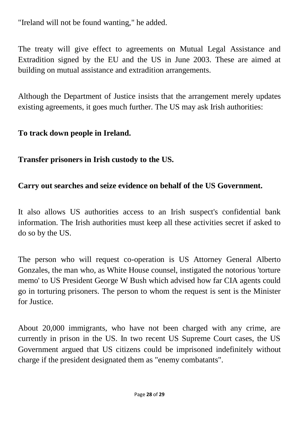"Ireland will not be found wanting," he added.

The treaty will give effect to agreements on Mutual Legal Assistance and Extradition signed by the EU and the US in June 2003. These are aimed at building on mutual assistance and extradition arrangements.

Although the Department of Justice insists that the arrangement merely updates existing agreements, it goes much further. The US may ask Irish authorities:

#### **To track down people in Ireland.**

#### **Transfer prisoners in Irish custody to the US.**

#### **Carry out searches and seize evidence on behalf of the US Government.**

It also allows US authorities access to an Irish suspect's confidential bank information. The Irish authorities must keep all these activities secret if asked to do so by the US.

The person who will request co-operation is US Attorney General Alberto Gonzales, the man who, as White House counsel, instigated the notorious 'torture memo' to US President George W Bush which advised how far CIA agents could go in torturing prisoners. The person to whom the request is sent is the Minister for Justice.

About 20,000 immigrants, who have not been charged with any crime, are currently in prison in the US. In two recent US Supreme Court cases, the US Government argued that US citizens could be imprisoned indefinitely without charge if the president designated them as "enemy combatants".